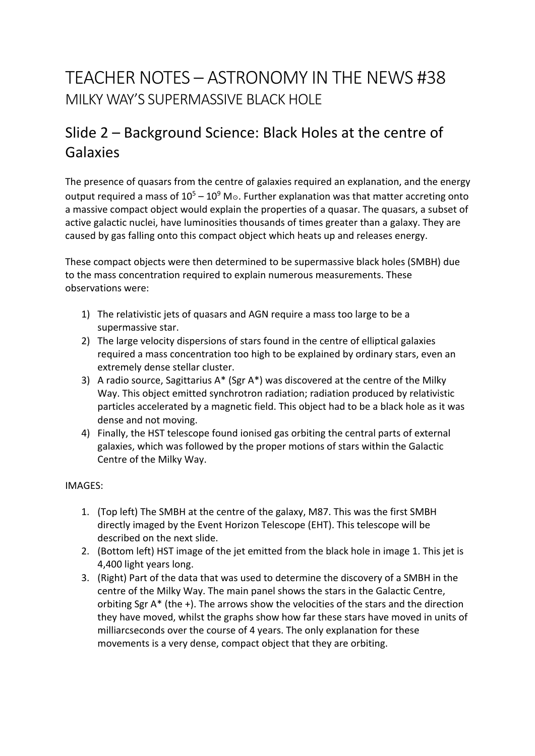## TEACHER NOTES – ASTRONOMY IN THE NEWS #38 MILKY WAY'S SUPERMASSIVE BLACK HOLE

### Slide 2 – Background Science: Black Holes at the centre of Galaxies

The presence of quasars from the centre of galaxies required an explanation, and the energy output required a mass of  $10^5 - 10^9$  M<sub>☉</sub>. Further explanation was that matter accreting onto a massive compact object would explain the properties of a quasar. The quasars, a subset of active galactic nuclei, have luminosities thousands of times greater than a galaxy. They are caused by gas falling onto this compact object which heats up and releases energy.

These compact objects were then determined to be supermassive black holes (SMBH) due to the mass concentration required to explain numerous measurements. These observations were:

- 1) The relativistic jets of quasars and AGN require a mass too large to be a supermassive star.
- 2) The large velocity dispersions of stars found in the centre of elliptical galaxies required a mass concentration too high to be explained by ordinary stars, even an extremely dense stellar cluster.
- 3) A radio source, Sagittarius A\* (Sgr A\*) was discovered at the centre of the Milky Way. This object emitted synchrotron radiation; radiation produced by relativistic particles accelerated by a magnetic field. This object had to be a black hole as it was dense and not moving.
- 4) Finally, the HST telescope found ionised gas orbiting the central parts of external galaxies, which was followed by the proper motions of stars within the Galactic Centre of the Milky Way.

#### IMAGES:

- 1. (Top left) The SMBH at the centre of the galaxy, M87. This was the first SMBH directly imaged by the Event Horizon Telescope (EHT). This telescope will be described on the next slide.
- 2. (Bottom left) HST image of the jet emitted from the black hole in image 1. This jet is 4,400 light years long.
- 3. (Right) Part of the data that was used to determine the discovery of a SMBH in the centre of the Milky Way. The main panel shows the stars in the Galactic Centre, orbiting Sgr A\* (the +). The arrows show the velocities of the stars and the direction they have moved, whilst the graphs show how far these stars have moved in units of milliarcseconds over the course of 4 years. The only explanation for these movements is a very dense, compact object that they are orbiting.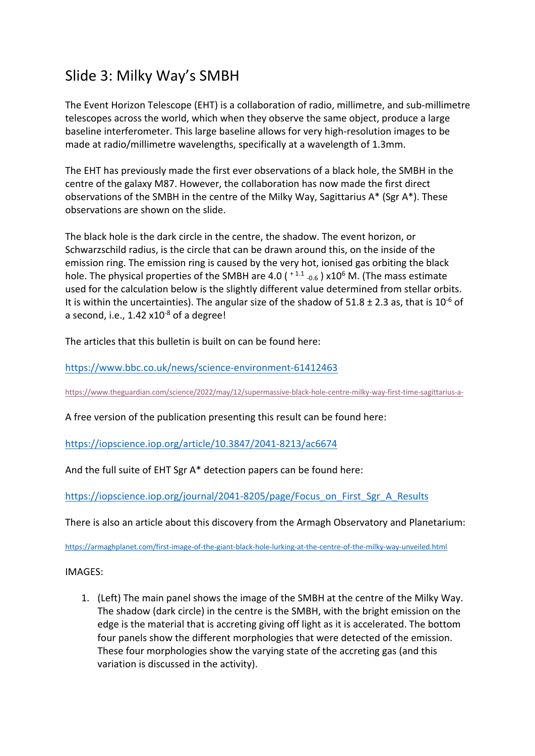#### Slide 3: Milky Way's SMBH

The Event Horizon Telescope (EHT) is a collaboration of radio, millimetre, and sub-millimetre telescopes across the world, which when they observe the same object, produce a large baseline interferometer. This large baseline allows for very high-resolution images to be made at radio/millimetre wavelengths, specifically at a wavelength of 1.3mm.

The EHT has previously made the first ever observations of a black hole, the SMBH in the centre of the galaxy M87. However, the collaboration has now made the first direct observations of the SMBH in the centre of the Milky Way, Sagittarius A\* (Sgr A\*). These observations are shown on the slide.

The black hole is the dark circle in the centre, the shadow. The event horizon, or Schwarzschild radius, is the circle that can be drawn around this, on the inside of the emission ring. The emission ring is caused by the very hot, ionised gas orbiting the black hole. The physical properties of the SMBH are 4.0 ( $+1.1$  -0.6) x10<sup>6</sup> M. (The mass estimate used for the calculation below is the slightly different value determined from stellar orbits. It is within the uncertainties). The angular size of the shadow of  $51.8 \pm 2.3$  as, that is  $10^{-6}$  of a second, i.e.,  $1.42 \times 10^{-8}$  of a degree!

The articles that this bulletin is built on can be found here:

https://www.bbc.co.uk/news/science-environment-61412463

https://www.theguardian.com/science/2022/may/12/supermassive-black-hole-centre-milky-way-first-time-sagittarius-a-

A free version of the publication presenting this result can be found here:

https://iopscience.iop.org/article/10.3847/2041-8213/ac6674

And the full suite of EHT Sgr A\* detection papers can be found here:

https://iopscience.iop.org/journal/2041-8205/page/Focus\_on\_First\_Sgr\_A\_Results

There is also an article about this discovery from the Armagh Observatory and Planetarium:

https://armaghplanet.com/first-image-of-the-giant-black-hole-lurking-at-the-centre-of-the-milky-way-unveiled.html

IMAGES:

1. (Left) The main panel shows the image of the SMBH at the centre of the Milky Way. The shadow (dark circle) in the centre is the SMBH, with the bright emission on the edge is the material that is accreting giving off light as it is accelerated. The bottom four panels show the different morphologies that were detected of the emission. These four morphologies show the varying state of the accreting gas (and this variation is discussed in the activity).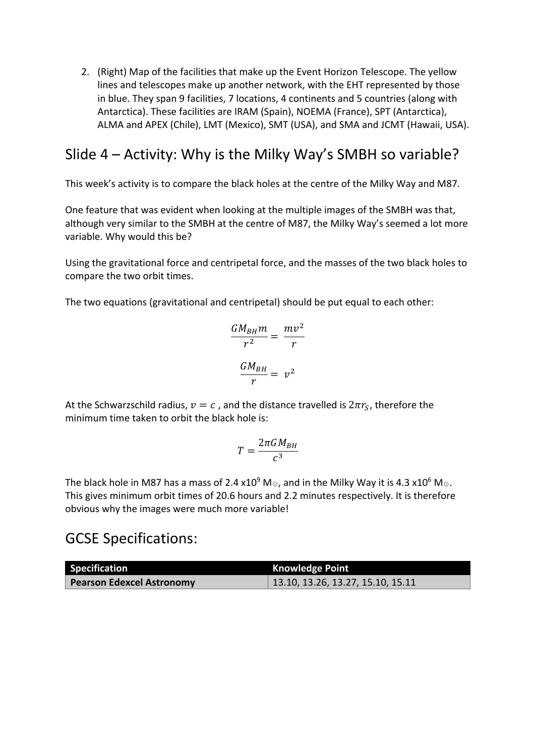2. (Right) Map of the facilities that make up the Event Horizon Telescope. The yellow lines and telescopes make up another network, with the EHT represented by those in blue. They span 9 facilities, 7 locations, 4 continents and 5 countries (along with Antarctica). These facilities are IRAM (Spain), NOEMA (France), SPT (Antarctica), ALMA and APEX (Chile), LMT (Mexico), SMT (USA), and SMA and JCMT (Hawaii, USA).

#### Slide 4 – Activity: Why is the Milky Way's SMBH so variable?

This week's activity is to compare the black holes at the centre of the Milky Way and M87.

One feature that was evident when looking at the multiple images of the SMBH was that, although very similar to the SMBH at the centre of M87, the Milky Way's seemed a lot more variable. Why would this be?

Using the gravitational force and centripetal force, and the masses of the two black holes to compare the two orbit times.

The two equations (gravitational and centripetal) should be put equal to each other:

$$
\frac{GM_{BH}m}{r^2} = \frac{mv^2}{r}
$$

$$
\frac{GM_{BH}}{r} = v^2
$$

At the Schwarzschild radius,  $v = c$ , and the distance travelled is  $2\pi r_S$ , therefore the minimum time taken to orbit the black hole is:

$$
T = \frac{2\pi G M_{BH}}{c^3}
$$

The black hole in M87 has a mass of 2.4 x10<sup>9</sup> M<sub>☉</sub>, and in the Milky Way it is 4.3 x10<sup>6</sup> M<sub>☉</sub>. This gives minimum orbit times of 20.6 hours and 2.2 minutes respectively. It is therefore obvious why the images were much more variable!

#### GCSE Specifications:

| Specification                    | <b>Knowledge Point</b>                    |
|----------------------------------|-------------------------------------------|
| <b>Pearson Edexcel Astronomy</b> | $\vert$ 13.10, 13.26, 13.27, 15.10, 15.11 |